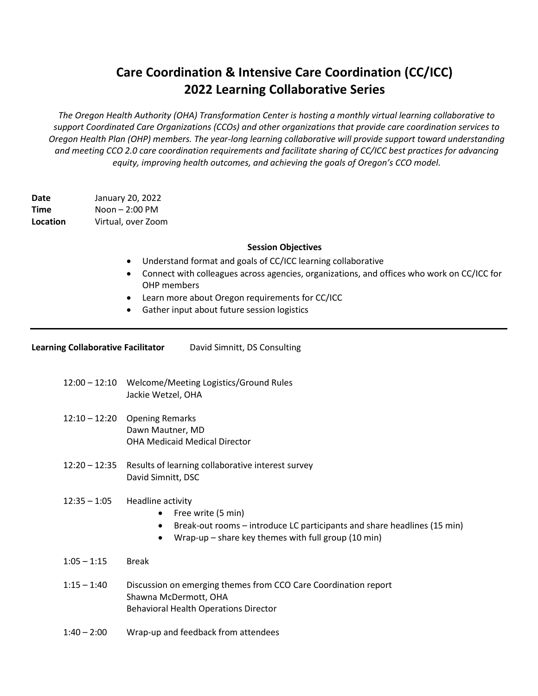# **Care Coordination & Intensive Care Coordination (CC/ICC) 2022 Learning Collaborative Series**

*The Oregon Health Authority (OHA) Transformation Center is hosting a monthly virtual learning collaborative to support Coordinated Care Organizations (CCOs) and other organizations that provide care coordination services to Oregon Health Plan (OHP) members. The year-long learning collaborative will provide support toward understanding and meeting CCO 2.0 care coordination requirements and facilitate sharing of CC/ICC best practices for advancing equity, improving health outcomes, and achieving the goals of Oregon's CCO model.*

**Date** January 20, 2022 **Time** Noon – 2:00 PM **Location** Virtual, over Zoom

### **Session Objectives**

- Understand format and goals of CC/ICC learning collaborative
- Connect with colleagues across agencies, organizations, and offices who work on CC/ICC for OHP members
- Learn more about Oregon requirements for CC/ICC
- Gather input about future session logistics

| David Simnitt, DS Consulting |
|------------------------------|
|                              |

- 12:00 12:10 Welcome/Meeting Logistics/Ground Rules Jackie Wetzel, OHA
- 12:10 12:20 Opening Remarks Dawn Mautner, MD OHA Medicaid Medical Director
- 12:20 12:35 Results of learning collaborative interest survey David Simnitt, DSC

#### $12:35 - 1:05$  Headline activity

- Free write (5 min)
- Break-out rooms introduce LC participants and share headlines (15 min)
- Wrap-up share key themes with full group (10 min)
- 1:05 1:15 Break
- 1:15 1:40 Discussion on emerging themes from CCO Care Coordination report Shawna McDermott, OHA Behavioral Health Operations Director
- 1:40 2:00 Wrap-up and feedback from attendees